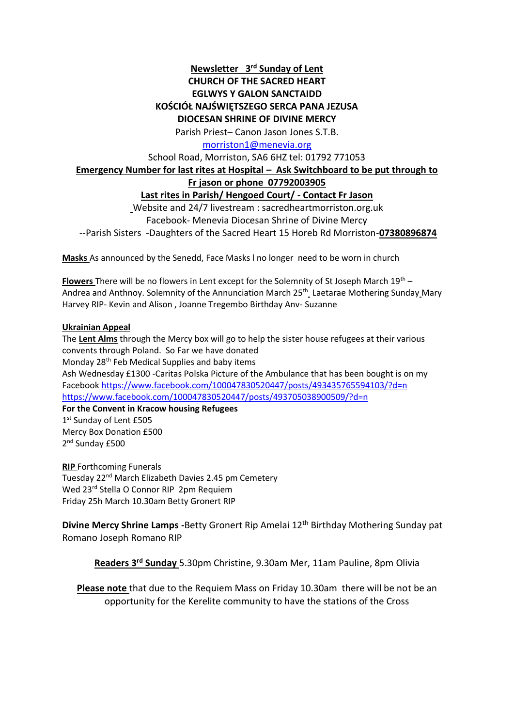# **Newsletter 3 rd Sunday of Lent CHURCH OF THE SACRED HEART EGLWYS Y GALON SANCTAIDD KOŚCIÓŁ NAJŚWIĘTSZEGO SERCA PANA JEZUSA DIOCESAN SHRINE OF DIVINE MERCY**

Parish Priest– Canon Jason Jones S.T.B.

[morriston1@menevia.org](mailto:morriston1@menevia.org)

School Road, Morriston, SA6 6HZ tel: 01792 771053

# **Emergency Number for last rites at Hospital – Ask Switchboard to be put through to**

## **Fr jason or phone 07792003905**

**Last rites in Parish/ Hengoed Court/ - Contact Fr Jason** 

Website and 24/7 livestream : sacredheartmorriston.org.uk Facebook- Menevia Diocesan Shrine of Divine Mercy --Parish Sisters -Daughters of the Sacred Heart 15 Horeb Rd Morriston-**07380896874**

**Masks** As announced by the Senedd, Face Masks l no longer need to be worn in church

**Flowers** There will be no flowers in Lent except for the Solemnity of St Joseph March 19th – Andrea and Anthnoy. Solemnity of the Annunciation March 25<sup>th</sup> Laetarae Mothering Sunday Mary Harvey RIP- Kevin and Alison , Joanne Tregembo Birthday Anv- Suzanne

### **Ukrainian Appeal**

The **Lent Alms** through the Mercy box will go to help the sister house refugees at their various convents through Poland. So Far we have donated Monday 28<sup>th</sup> Feb Medical Supplies and baby items Ash Wednesday £1300 -Caritas Polska Picture of the Ambulance that has been bought is on my Facebook <https://www.facebook.com/100047830520447/posts/493435765594103/?d=n> <https://www.facebook.com/100047830520447/posts/493705038900509/?d=n> **For the Convent in Kracow housing Refugees** 

1st Sunday of Lent £505 Mercy Box Donation £500 2<sup>nd</sup> Sunday £500

**RIP** Forthcoming Funerals Tuesday 22nd March Elizabeth Davies 2.45 pm Cemetery Wed 23<sup>rd</sup> Stella O Connor RIP 2pm Requiem Friday 25h March 10.30am Betty Gronert RIP

**Divine Mercy Shrine Lamps -**Betty Gronert Rip Amelai 12th Birthday Mothering Sunday pat Romano Joseph Romano RIP

**Readers 3 rd Sunday** 5.30pm Christine, 9.30am Mer, 11am Pauline, 8pm Olivia

**Please note** that due to the Requiem Mass on Friday 10.30am there will be not be an opportunity for the Kerelite community to have the stations of the Cross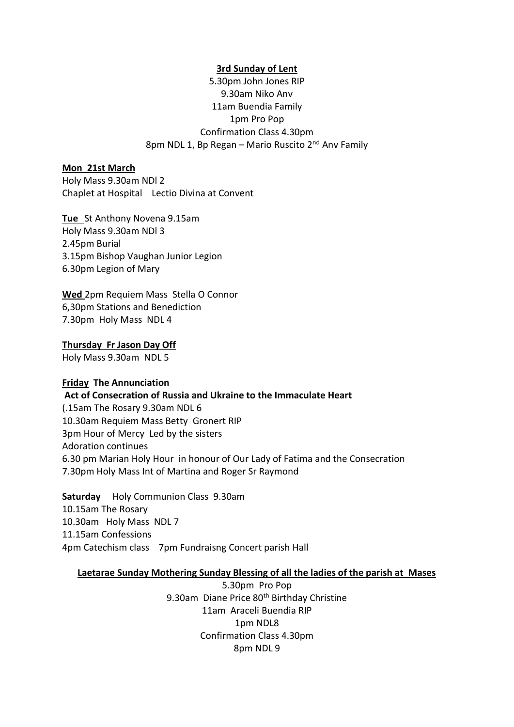### **3rd Sunday of Lent**

5.30pm John Jones RIP 9.30am Niko Anv 11am Buendia Family 1pm Pro Pop Confirmation Class 4.30pm 8pm NDL 1, Bp Regan – Mario Ruscito  $2<sup>nd</sup>$  Anv Family

### **Mon 21st March**

Holy Mass 9.30am NDl 2 Chaplet at Hospital Lectio Divina at Convent

**Tue** St Anthony Novena 9.15am Holy Mass 9.30am NDl 3 2.45pm Burial 3.15pm Bishop Vaughan Junior Legion 6.30pm Legion of Mary

**Wed** 2pm Requiem Mass Stella O Connor 6,30pm Stations and Benediction 7.30pm Holy Mass NDL 4

## **Thursday Fr Jason Day Off**

Holy Mass 9.30am NDL 5

### **Friday The Annunciation**

**Act of Consecration of Russia and Ukraine to the Immaculate Heart** 

(.15am The Rosary 9.30am NDL 6 10.30am Requiem Mass Betty Gronert RIP 3pm Hour of Mercy Led by the sisters Adoration continues 6.30 pm Marian Holy Hour in honour of Our Lady of Fatima and the Consecration 7.30pm Holy Mass Int of Martina and Roger Sr Raymond

**Saturday** Holy Communion Class 9.30am 10.15am The Rosary 10.30am Holy Mass NDL 7 11.15am Confessions 4pm Catechism class 7pm Fundraisng Concert parish Hall

#### **Laetarae Sunday Mothering Sunday Blessing of all the ladies of the parish at Mases**

5.30pm Pro Pop 9.30am Diane Price 80<sup>th</sup> Birthday Christine 11am Araceli Buendia RIP 1pm NDL8 Confirmation Class 4.30pm 8pm NDL 9